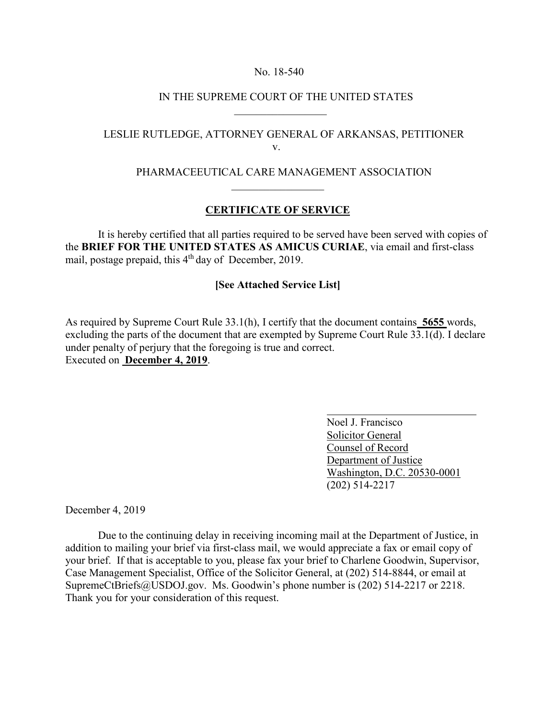#### No. 18-540

#### IN THE SUPREME COURT OF THE UNITED STATES

# LESLIE RUTLEDGE, ATTORNEY GENERAL OF ARKANSAS, PETITIONER v.

## PHARMACEEUTICAL CARE MANAGEMENT ASSOCIATION

## **CERTIFICATE OF SERVICE**

 $\mathcal{L}_\text{max}$  and  $\mathcal{L}_\text{max}$  and  $\mathcal{L}_\text{max}$  and  $\mathcal{L}_\text{max}$  and  $\mathcal{L}_\text{max}$ 

It is hereby certified that all parties required to be served have been served with copies of the **BRIEF FOR THE UNITED STATES AS AMICUS CURIAE**, via email and first-class mail, postage prepaid, this 4<sup>th</sup> day of December, 2019.

## **[See Attached Service List]**

As required by Supreme Court Rule 33.1(h), I certify that the document contains **5655** words, excluding the parts of the document that are exempted by Supreme Court Rule 33.1(d). I declare under penalty of perjury that the foregoing is true and correct. Executed on **December 4, 2019**.

> Noel J. Francisco Solicitor General Counsel of Record Department of Justice Washington, D.C. 20530-0001 (202) 514-2217

December 4, 2019

 Due to the continuing delay in receiving incoming mail at the Department of Justice, in addition to mailing your brief via first-class mail, we would appreciate a fax or email copy of your brief. If that is acceptable to you, please fax your brief to Charlene Goodwin, Supervisor, Case Management Specialist, Office of the Solicitor General, at (202) 514-8844, or email at SupremeCtBriefs@USDOJ.gov. Ms. Goodwin's phone number is (202) 514-2217 or 2218. Thank you for your consideration of this request.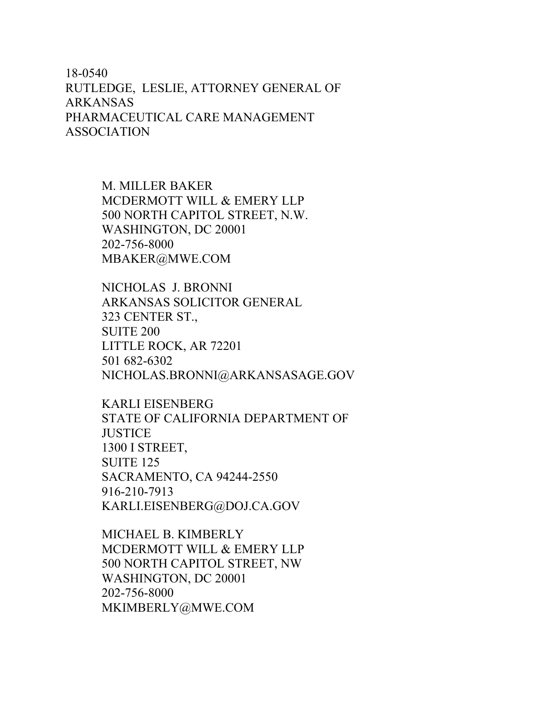# 18-0540 RUTLEDGE, LESLIE, ATTORNEY GENERAL OF ARKANSAS PHARMACEUTICAL CARE MANAGEMENT ASSOCIATION

M. MILLER BAKER MCDERMOTT WILL & EMERY LLP 500 NORTH CAPITOL STREET, N.W. WASHINGTON, DC 20001 202-756-8000 MBAKER@MWE.COM

NICHOLAS J. BRONNI ARKANSAS SOLICITOR GENERAL 323 CENTER ST., SUITE 200 LITTLE ROCK, AR 72201 501 682-6302 NICHOLAS.BRONNI@ARKANSASAGE.GOV

KARLI EISENBERG STATE OF CALIFORNIA DEPARTMENT OF **JUSTICE** 1300 I STREET, SUITE 125 SACRAMENTO, CA 94244-2550 916-210-7913 KARLI.EISENBERG@DOJ.CA.GOV

MICHAEL B. KIMBERLY MCDERMOTT WILL & EMERY LLP 500 NORTH CAPITOL STREET, NW WASHINGTON, DC 20001 202-756-8000 MKIMBERLY@MWE.COM